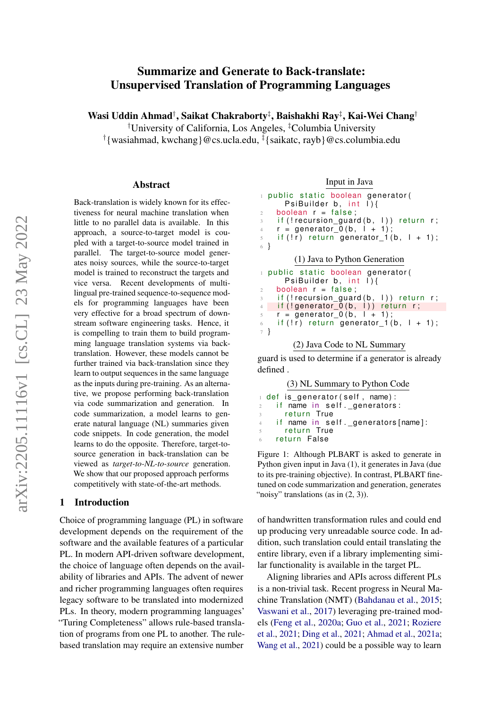# Summarize and Generate to Back-translate: Unsupervised Translation of Programming Languages

Wasi Uddin Ahmad†, Saikat Chakraborty‡, Baishakhi Ray‡, Kai-Wei Chang†

†University of California, Los Angeles, ‡Columbia University

† {wasiahmad, kwchang}@cs.ucla.edu, ‡ {saikatc, rayb}@cs.columbia.edu

#### Abstract

Back-translation is widely known for its effectiveness for neural machine translation when little to no parallel data is available. In this approach, a source-to-target model is coupled with a target-to-source model trained in parallel. The target-to-source model generates noisy sources, while the source-to-target model is trained to reconstruct the targets and vice versa. Recent developments of multilingual pre-trained sequence-to-sequence models for programming languages have been very effective for a broad spectrum of downstream software engineering tasks. Hence, it is compelling to train them to build programming language translation systems via backtranslation. However, these models cannot be further trained via back-translation since they learn to output sequences in the same language as the inputs during pre-training. As an alternative, we propose performing back-translation via code summarization and generation. In code summarization, a model learns to generate natural language (NL) summaries given code snippets. In code generation, the model learns to do the opposite. Therefore, target-tosource generation in back-translation can be viewed as *target-to-NL-to-source* generation. We show that our proposed approach performs competitively with state-of-the-art methods.

### 1 Introduction

Choice of programming language (PL) in software development depends on the requirement of the software and the available features of a particular PL. In modern API-driven software development, the choice of language often depends on the availability of libraries and APIs. The advent of newer and richer programming languages often requires legacy software to be translated into modernized PLs. In theory, modern programming languages' "Turing Completeness" allows rule-based translation of programs from one PL to another. The rulebased translation may require an extensive number

Input in Java

```
1 public static boolean generator (
      PsiBuilder b, int \tilde{I}}{
2 boolean r = false;
3 if (! recursion_guard (b, l)) return r;
\begin{array}{ccc} 4 & r = \text{generator } 0 (b, l + 1) \end{array}5 if (\overline{!r}) return generator 1(b, 1 + 1);
6 }
         (1) Java to Python Generation
1 public static boolean generator (
      PsiBuilder b, int \overline{I} {
2 boolean r = false;\beta if (! recursion_guard (b, l)) return r;
4 if (!generator_0(b, l)) return r;
s \t r = generator_0 (b, l + 1);6 if (!r) return generator 1(b, 1 + 1);
7 }
        (2) Java Code to NL Summary
```
guard is used to determine if a generator is already defined .

(3) NL Summary to Python Code

| def is generator(self, name):            |
|------------------------------------------|
| $_2$ if name in self. generators:        |
| 3 - return True                          |
| 4     if name in self. generators[name]: |
| return True<br>$\sim$                    |
| 6 return False                           |
|                                          |

Figure 1: Although PLBART is asked to generate in Python given input in Java (1), it generates in Java (due to its pre-training objective). In contrast, PLBART finetuned on code summarization and generation, generates "noisy" translations (as in  $(2, 3)$ ).

of handwritten transformation rules and could end up producing very unreadable source code. In addition, such translation could entail translating the entire library, even if a library implementing similar functionality is available in the target PL.

Aligning libraries and APIs across different PLs is a non-trivial task. Recent progress in Neural Machine Translation (NMT) [\(Bahdanau et al.,](#page-8-0) [2015;](#page-8-0) [Vaswani et al.,](#page-10-0) [2017\)](#page-10-0) leveraging pre-trained models [\(Feng et al.,](#page-8-1) [2020a;](#page-8-1) [Guo et al.,](#page-8-2) [2021;](#page-8-2) [Roziere](#page-10-1) [et al.,](#page-10-1) [2021;](#page-10-1) [Ding et al.,](#page-8-3) [2021;](#page-8-3) [Ahmad et al.,](#page-8-4) [2021a;](#page-8-4) [Wang et al.,](#page-10-2) [2021\)](#page-10-2) could be a possible way to learn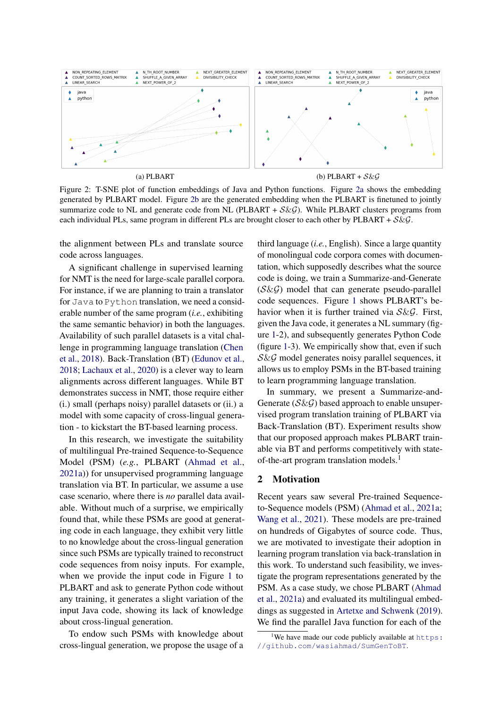<span id="page-1-2"></span><span id="page-1-0"></span>

<span id="page-1-1"></span>

Figure 2: T-SNE plot of function embeddings of Java and Python functions. Figure [2a](#page-1-0) shows the embedding generated by PLBART model. Figure [2b](#page-1-1) are the generated embedding when the PLBART is finetuned to jointly summarize code to NL and generate code from NL (PLBART +  $S\&G$ ). While PLBART clusters programs from each individual PLs, same program in different PLs are brought closer to each other by PLBART +  $S\&G$ .

the alignment between PLs and translate source code across languages.

A significant challenge in supervised learning for NMT is the need for large-scale parallel corpora. For instance, if we are planning to train a translator for Java to Python translation, we need a considerable number of the same program (*i.e.*, exhibiting the same semantic behavior) in both the languages. Availability of such parallel datasets is a vital challenge in programming language translation [\(Chen](#page-8-5) [et al.,](#page-8-5) [2018\)](#page-8-5). Back-Translation (BT) [\(Edunov et al.,](#page-8-6) [2018;](#page-8-6) [Lachaux et al.,](#page-9-0) [2020\)](#page-9-0) is a clever way to learn alignments across different languages. While BT demonstrates success in NMT, those require either (i.) small (perhaps noisy) parallel datasets or (ii.) a model with some capacity of cross-lingual generation - to kickstart the BT-based learning process.

In this research, we investigate the suitability of multilingual Pre-trained Sequence-to-Sequence Model (PSM) (*e.g.*, PLBART [\(Ahmad et al.,](#page-8-4) [2021a\)](#page-8-4)) for unsupervised programming language translation via BT. In particular, we assume a use case scenario, where there is *no* parallel data available. Without much of a surprise, we empirically found that, while these PSMs are good at generating code in each language, they exhibit very little to no knowledge about the cross-lingual generation since such PSMs are typically trained to reconstruct code sequences from noisy inputs. For example, when we provide the input code in Figure [1](#page-0-0) to PLBART and ask to generate Python code without any training, it generates a slight variation of the input Java code, showing its lack of knowledge about cross-lingual generation.

To endow such PSMs with knowledge about cross-lingual generation, we propose the usage of a third language (*i.e.*, English). Since a large quantity of monolingual code corpora comes with documentation, which supposedly describes what the source code is doing, we train a Summarize-and-Generate  $(S\&G)$  model that can generate pseudo-parallel code sequences. Figure [1](#page-0-0) shows PLBART's behavior when it is further trained via  $S\&G$ . First, given the Java code, it generates a NL summary (figure [1-](#page-0-0)2), and subsequently generates Python Code (figure [1-](#page-0-0)3). We empirically show that, even if such  $S\&G$  model generates noisy parallel sequences, it allows us to employ PSMs in the BT-based training to learn programming language translation.

In summary, we present a Summarize-and-Generate  $(S\&G)$  based approach to enable unsupervised program translation training of PLBART via Back-Translation (BT). Experiment results show that our proposed approach makes PLBART trainable via BT and performs competitively with stateof-the-art program translation models.<sup>1</sup>

### 2 Motivation

Recent years saw several Pre-trained Sequenceto-Sequence models (PSM) [\(Ahmad et al.,](#page-8-4) [2021a;](#page-8-4) [Wang et al.,](#page-10-2) [2021\)](#page-10-2). These models are pre-trained on hundreds of Gigabytes of source code. Thus, we are motivated to investigate their adoption in learning program translation via back-translation in this work. To understand such feasibility, we investigate the program representations generated by the PSM. As a case study, we chose PLBART [\(Ahmad](#page-8-4) [et al.,](#page-8-4) [2021a\)](#page-8-4) and evaluated its multilingual embeddings as suggested in [Artetxe and Schwenk](#page-8-7) [\(2019\)](#page-8-7). We find the parallel Java function for each of the

<sup>&</sup>lt;sup>1</sup>We have made our code publicly available at  $https:$ [//github.com/wasiahmad/SumGenToBT](https://github.com/wasiahmad/SumGenToBT).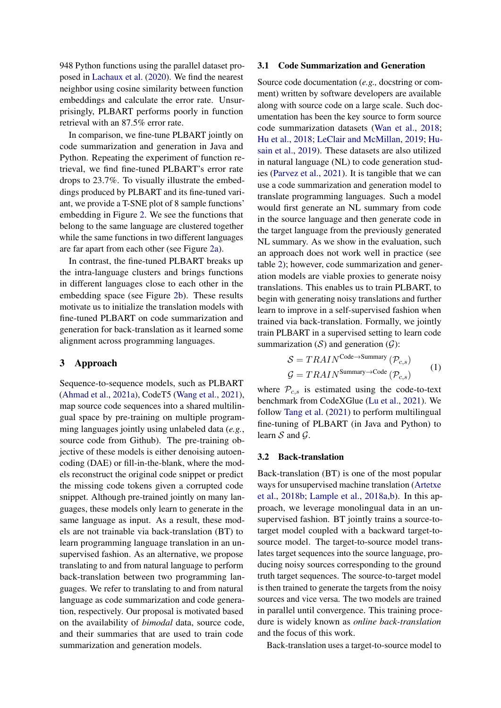948 Python functions using the parallel dataset proposed in [Lachaux et al.](#page-9-0) [\(2020\)](#page-9-0). We find the nearest neighbor using cosine similarity between function embeddings and calculate the error rate. Unsurprisingly, PLBART performs poorly in function retrieval with an 87.5% error rate.

In comparison, we fine-tune PLBART jointly on code summarization and generation in Java and Python. Repeating the experiment of function retrieval, we find fine-tuned PLBART's error rate drops to 23.7%. To visually illustrate the embeddings produced by PLBART and its fine-tuned variant, we provide a T-SNE plot of 8 sample functions' embedding in Figure [2.](#page-1-2) We see the functions that belong to the same language are clustered together while the same functions in two different languages are far apart from each other (see Figure [2a\)](#page-1-0).

In contrast, the fine-tuned PLBART breaks up the intra-language clusters and brings functions in different languages close to each other in the embedding space (see Figure [2b\)](#page-1-1). These results motivate us to initialize the translation models with fine-tuned PLBART on code summarization and generation for back-translation as it learned some alignment across programming languages.

## 3 Approach

Sequence-to-sequence models, such as PLBART [\(Ahmad et al.,](#page-8-4) [2021a\)](#page-8-4), CodeT5 [\(Wang et al.,](#page-10-2) [2021\)](#page-10-2), map source code sequences into a shared multilingual space by pre-training on multiple programming languages jointly using unlabeled data (*e.g.*, source code from Github). The pre-training objective of these models is either denoising autoencoding (DAE) or fill-in-the-blank, where the models reconstruct the original code snippet or predict the missing code tokens given a corrupted code snippet. Although pre-trained jointly on many languages, these models only learn to generate in the same language as input. As a result, these models are not trainable via back-translation (BT) to learn programming language translation in an unsupervised fashion. As an alternative, we propose translating to and from natural language to perform back-translation between two programming languages. We refer to translating to and from natural language as code summarization and code generation, respectively. Our proposal is motivated based on the availability of *bimodal* data, source code, and their summaries that are used to train code summarization and generation models.

#### 3.1 Code Summarization and Generation

Source code documentation (*e.g.,* docstring or comment) written by software developers are available along with source code on a large scale. Such documentation has been the key source to form source code summarization datasets [\(Wan et al.,](#page-10-3) [2018;](#page-10-3) [Hu et al.,](#page-9-1) [2018;](#page-9-1) [LeClair and McMillan,](#page-9-2) [2019;](#page-9-2) [Hu](#page-9-3)[sain et al.,](#page-9-3) [2019\)](#page-9-3). These datasets are also utilized in natural language (NL) to code generation studies [\(Parvez et al.,](#page-9-4) [2021\)](#page-9-4). It is tangible that we can use a code summarization and generation model to translate programming languages. Such a model would first generate an NL summary from code in the source language and then generate code in the target language from the previously generated NL summary. As we show in the evaluation, such an approach does not work well in practice (see table [2\)](#page-6-0); however, code summarization and generation models are viable proxies to generate noisy translations. This enables us to train PLBART, to begin with generating noisy translations and further learn to improve in a self-supervised fashion when trained via back-translation. Formally, we jointly train PLBART in a supervised setting to learn code summarization  $(S)$  and generation  $(G)$ :

<span id="page-2-0"></span>
$$
S = TRAIN^{\text{Code} \rightarrow \text{Summary}} (\mathcal{P}_{c,s})
$$
  

$$
\mathcal{G} = TRAIN^{\text{Summary} \rightarrow \text{Code}} (\mathcal{P}_{c,s})
$$
 (1)

where  $\mathcal{P}_{c,s}$  is estimated using the code-to-text benchmark from CodeXGlue [\(Lu et al.,](#page-9-5) [2021\)](#page-9-5). We follow [Tang et al.](#page-10-4) [\(2021\)](#page-10-4) to perform multilingual fine-tuning of PLBART (in Java and Python) to learn  $S$  and  $G$ .

#### 3.2 Back-translation

Back-translation (BT) is one of the most popular ways for unsupervised machine translation [\(Artetxe](#page-8-8) [et al.,](#page-8-8) [2018b;](#page-8-8) [Lample et al.,](#page-9-6) [2018a](#page-9-6)[,b\)](#page-9-7). In this approach, we leverage monolingual data in an unsupervised fashion. BT jointly trains a source-totarget model coupled with a backward target-tosource model. The target-to-source model translates target sequences into the source language, producing noisy sources corresponding to the ground truth target sequences. The source-to-target model is then trained to generate the targets from the noisy sources and vice versa. The two models are trained in parallel until convergence. This training procedure is widely known as *online back-translation* and the focus of this work.

Back-translation uses a target-to-source model to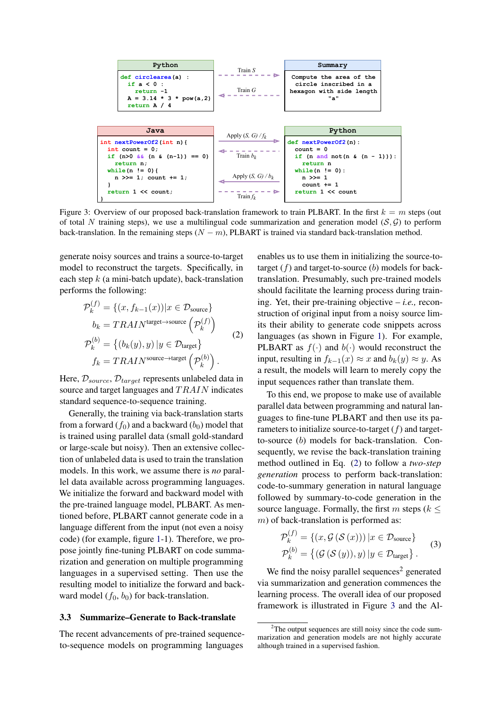<span id="page-3-1"></span>

Figure 3: Overview of our proposed back-translation framework to train PLBART. In the first  $k = m$  steps (out of total N training steps), we use a multilingual code summarization and generation model ( $S$ ,  $G$ ) to perform back-translation. In the remaining steps  $(N - m)$ , PLBART is trained via standard back-translation method.

generate noisy sources and trains a source-to-target model to reconstruct the targets. Specifically, in each step  $k$  (a mini-batch update), back-translation performs the following:

$$
\mathcal{P}_k^{(f)} = \{ (x, f_{k-1}(x)) | x \in \mathcal{D}_{\text{source}} \}
$$
  
\n
$$
b_k = TRAIN^{\text{target} \to \text{source}} \left( \mathcal{P}_k^{(f)} \right)
$$
  
\n
$$
\mathcal{P}_k^{(b)} = \{ (b_k(y), y) | y \in \mathcal{D}_{\text{target}} \}
$$
  
\n
$$
f_k = TRAIN^{\text{source} \to \text{target}} \left( \mathcal{P}_k^{(b)} \right).
$$
\n(2)

Here,  $\mathcal{D}_{source}$ ,  $\mathcal{D}_{target}$  represents unlabeled data in source and target languages and  $TRAIN$  indicates standard sequence-to-sequence training.

Generally, the training via back-translation starts from a forward  $(f_0)$  and a backward  $(b_0)$  model that is trained using parallel data (small gold-standard or large-scale but noisy). Then an extensive collection of unlabeled data is used to train the translation models. In this work, we assume there is *no* parallel data available across programming languages. We initialize the forward and backward model with the pre-trained language model, PLBART. As mentioned before, PLBART cannot generate code in a language different from the input (not even a noisy code) (for example, figure [1-](#page-0-0)1). Therefore, we propose jointly fine-tuning PLBART on code summarization and generation on multiple programming languages in a supervised setting. Then use the resulting model to initialize the forward and backward model  $(f_0, b_0)$  for back-translation.

#### <span id="page-3-2"></span>3.3 Summarize–Generate to Back-translate

The recent advancements of pre-trained sequenceto-sequence models on programming languages

enables us to use them in initializing the source-totarget  $(f)$  and target-to-source  $(b)$  models for backtranslation. Presumably, such pre-trained models should facilitate the learning process during training. Yet, their pre-training objective – *i.e.,* reconstruction of original input from a noisy source limits their ability to generate code snippets across languages (as shown in Figure [1\)](#page-0-0). For example, PLBART as  $f(\cdot)$  and  $b(\cdot)$  would reconstruct the input, resulting in  $f_{k-1}(x) \approx x$  and  $b_k(y) \approx y$ . As a result, the models will learn to merely copy the input sequences rather than translate them.

<span id="page-3-0"></span>To this end, we propose to make use of available parallel data between programming and natural languages to fine-tune PLBART and then use its parameters to initialize source-to-target  $(f)$  and targetto-source (b) models for back-translation. Consequently, we revise the back-translation training method outlined in Eq. [\(2\)](#page-3-0) to follow a *two-step generation* process to perform back-translation: code-to-summary generation in natural language followed by summary-to-code generation in the source language. Formally, the first m steps ( $k \leq$  $m$ ) of back-translation is performed as:

$$
\mathcal{P}_k^{(f)} = \{ (x, \mathcal{G}(\mathcal{S}(x))) \, | \, x \in \mathcal{D}_{\text{source}} \}
$$
\n
$$
\mathcal{P}_k^{(b)} = \{ (\mathcal{G}(\mathcal{S}(y)), y) \, | \, y \in \mathcal{D}_{\text{target}} \}.
$$
\n(3)

We find the noisy parallel sequences<sup>2</sup> generated via summarization and generation commences the learning process. The overall idea of our proposed framework is illustrated in Figure [3](#page-3-1) and the Al-

 $2$ The output sequences are still noisy since the code summarization and generation models are not highly accurate although trained in a supervised fashion.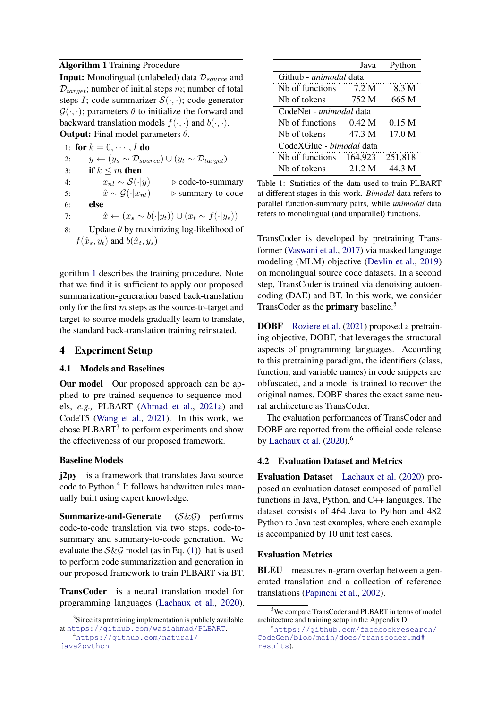## Algorithm 1 Training Procedure

**Input:** Monolingual (unlabeled) data  $\mathcal{D}_{source}$  and  $D_{target}$ ; number of initial steps m; number of total steps I; code summarizer  $S(\cdot, \cdot)$ ; code generator  $\mathcal{G}(\cdot, \cdot)$ ; parameters  $\theta$  to initialize the forward and backward translation models  $f(\cdot, \cdot)$  and  $b(\cdot, \cdot)$ . **Output:** Final model parameters  $\theta$ .

1: for  $k = 0, \cdots, I$  do 2:  $y \leftarrow (y_s \sim \mathcal{D}_{source}) \cup (y_t \sim \mathcal{D}_{target})$ 3: if  $k \le m$  then 4:  $x_{nl} \sim S(\cdot | y)$  ⊳ code-to-summary 5:  $\hat{x} \sim \mathcal{G}(\cdot | x_{nl})$  ⊳ summary-to-code 6: else 7:  $\hat{x} \leftarrow (x_s \sim b(\cdot | y_t)) \cup (x_t \sim f(\cdot | y_s))$ 8: Update  $\theta$  by maximizing log-likelihood of  $f(\hat{x}_s, y_t)$  and  $b(\hat{x}_t, y_s)$ 

<span id="page-4-0"></span>gorithm [1](#page-4-0) describes the training procedure. Note that we find it is sufficient to apply our proposed summarization-generation based back-translation only for the first  $m$  steps as the source-to-target and target-to-source models gradually learn to translate, the standard back-translation training reinstated.

## 4 Experiment Setup

## 4.1 Models and Baselines

Our model Our proposed approach can be applied to pre-trained sequence-to-sequence models, *e.g.,* PLBART [\(Ahmad et al.,](#page-8-4) [2021a\)](#page-8-4) and CodeT5 [\(Wang et al.,](#page-10-2) [2021\)](#page-10-2). In this work, we chose PLBART<sup>3</sup> to perform experiments and show the effectiveness of our proposed framework.

## Baseline Models

j2py is a framework that translates Java source code to Python.<sup>4</sup> It follows handwritten rules manually built using expert knowledge.

Summarize-and-Generate (S&G) performs code-to-code translation via two steps, code-tosummary and summary-to-code generation. We evaluate the  $S\&\mathcal{G}$  model (as in Eq. [\(1\)](#page-2-0)) that is used to perform code summarization and generation in our proposed framework to train PLBART via BT.

TransCoder is a neural translation model for programming languages [\(Lachaux et al.,](#page-9-0) [2020\)](#page-9-0).

<span id="page-4-1"></span>

|                                 | Java    | Python  |  |  |
|---------------------------------|---------|---------|--|--|
| Github - <i>unimodal</i> data   |         |         |  |  |
| N <sub>b</sub> of functions     | 7.2 M   | 8.3 M   |  |  |
| Nh of tokens                    | 752 M   | 665 M   |  |  |
| CodeNet - unimodal data         |         |         |  |  |
| Nh of functions                 | 0.42 M  | 0.15 M  |  |  |
| Nh of tokens                    | 47.3 M  | 17.0 M  |  |  |
| CodeXGlue - <i>bimodal</i> data |         |         |  |  |
| Nb of functions                 | 164.923 | 251,818 |  |  |
| Nb of tokens                    | 21 2 M  | 44.3 M  |  |  |

Table 1: Statistics of the data used to train PLBART at different stages in this work. *Bimodal* data refers to parallel function-summary pairs, while *unimodal* data refers to monolingual (and unparallel) functions.

TransCoder is developed by pretraining Transformer [\(Vaswani et al.,](#page-10-0) [2017\)](#page-10-0) via masked language modeling (MLM) objective [\(Devlin et al.,](#page-8-9) [2019\)](#page-8-9) on monolingual source code datasets. In a second step, TransCoder is trained via denoising autoencoding (DAE) and BT. In this work, we consider TransCoder as the **primary** baseline.<sup>5</sup>

DOBF [Roziere et al.](#page-10-1) [\(2021\)](#page-10-1) proposed a pretraining objective, DOBF, that leverages the structural aspects of programming languages. According to this pretraining paradigm, the identifiers (class, function, and variable names) in code snippets are obfuscated, and a model is trained to recover the original names. DOBF shares the exact same neural architecture as TransCoder.

The evaluation performances of TransCoder and DOBF are reported from the official code release by [Lachaux et al.](#page-9-0)  $(2020)$ .<sup>6</sup>

## 4.2 Evaluation Dataset and Metrics

Evaluation Dataset [Lachaux et al.](#page-9-0) [\(2020\)](#page-9-0) proposed an evaluation dataset composed of parallel functions in Java, Python, and C++ languages. The dataset consists of 464 Java to Python and 482 Python to Java test examples, where each example is accompanied by 10 unit test cases.

#### Evaluation Metrics

BLEU measures n-gram overlap between a generated translation and a collection of reference translations [\(Papineni et al.,](#page-9-8) [2002\)](#page-9-8).

<sup>&</sup>lt;sup>3</sup>Since its pretraining implementation is publicly available at <https://github.com/wasiahmad/PLBART>.

<sup>4</sup>[https://github.com/natural/](https://github.com/natural/java2python) [java2python](https://github.com/natural/java2python)

<sup>5</sup>We compare TransCoder and PLBART in terms of model architecture and training setup in the Appendix D.

<sup>6</sup>[https://github.com/facebookresearch/](https://github.com/facebookresearch/CodeGen/blob/main/docs/transcoder.md#results) [CodeGen/blob/main/docs/transcoder.md#](https://github.com/facebookresearch/CodeGen/blob/main/docs/transcoder.md#results) [results](https://github.com/facebookresearch/CodeGen/blob/main/docs/transcoder.md#results)).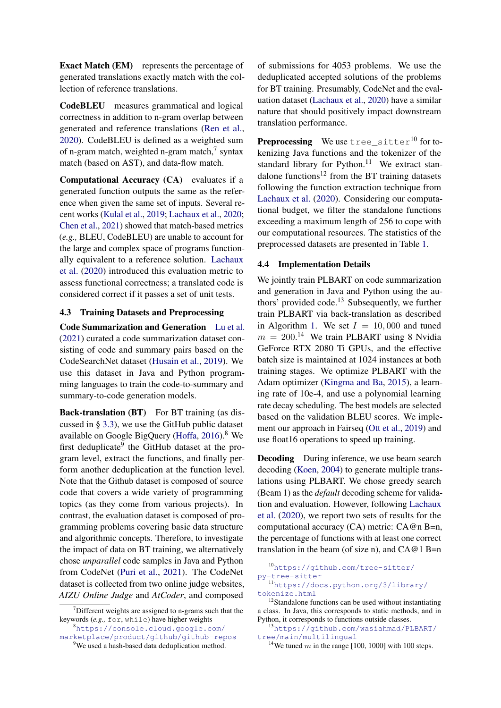Exact Match (EM) represents the percentage of generated translations exactly match with the collection of reference translations.

CodeBLEU measures grammatical and logical correctness in addition to n-gram overlap between generated and reference translations [\(Ren et al.,](#page-9-9) [2020\)](#page-9-9). CodeBLEU is defined as a weighted sum of n-gram match, weighted n-gram match,<sup>7</sup> syntax match (based on AST), and data-flow match.

Computational Accuracy (CA) evaluates if a generated function outputs the same as the reference when given the same set of inputs. Several recent works [\(Kulal et al.,](#page-9-10) [2019;](#page-9-10) [Lachaux et al.,](#page-9-0) [2020;](#page-9-0) [Chen et al.,](#page-8-10) [2021\)](#page-8-10) showed that match-based metrics (*e.g.,* BLEU, CodeBLEU) are unable to account for the large and complex space of programs functionally equivalent to a reference solution. [Lachaux](#page-9-0) [et al.](#page-9-0) [\(2020\)](#page-9-0) introduced this evaluation metric to assess functional correctness; a translated code is considered correct if it passes a set of unit tests.

## 4.3 Training Datasets and Preprocessing

Code Summarization and Generation [Lu et al.](#page-9-5) [\(2021\)](#page-9-5) curated a code summarization dataset consisting of code and summary pairs based on the CodeSearchNet dataset [\(Husain et al.,](#page-9-3) [2019\)](#page-9-3). We use this dataset in Java and Python programming languages to train the code-to-summary and summary-to-code generation models.

Back-translation (BT) For BT training (as discussed in § [3.3\)](#page-3-2), we use the GitHub public dataset available on Google BigQuery [\(Hoffa,](#page-9-11) [2016\)](#page-9-11).<sup>8</sup> We first deduplicate<sup>9</sup> the GitHub dataset at the program level, extract the functions, and finally perform another deduplication at the function level. Note that the Github dataset is composed of source code that covers a wide variety of programming topics (as they come from various projects). In contrast, the evaluation dataset is composed of programming problems covering basic data structure and algorithmic concepts. Therefore, to investigate the impact of data on BT training, we alternatively chose *unparallel* code samples in Java and Python from CodeNet [\(Puri et al.,](#page-9-12) [2021\)](#page-9-12). The CodeNet dataset is collected from two online judge websites, *AIZU Online Judge* and *AtCoder*, and composed of submissions for 4053 problems. We use the deduplicated accepted solutions of the problems for BT training. Presumably, CodeNet and the evaluation dataset [\(Lachaux et al.,](#page-9-0) [2020\)](#page-9-0) have a similar nature that should positively impact downstream translation performance.

Preprocessing We use tree\_sitter<sup>10</sup> for tokenizing Java functions and the tokenizer of the standard library for Python. $11$  We extract standalone functions<sup>12</sup> from the BT training datasets following the function extraction technique from [Lachaux et al.](#page-9-0) [\(2020\)](#page-9-0). Considering our computational budget, we filter the standalone functions exceeding a maximum length of 256 to cope with our computational resources. The statistics of the preprocessed datasets are presented in Table [1.](#page-4-1)

### 4.4 Implementation Details

We jointly train PLBART on code summarization and generation in Java and Python using the authors' provided code.<sup>13</sup> Subsequently, we further train PLBART via back-translation as described in Algorithm [1.](#page-4-0) We set  $I = 10,000$  and tuned  $m = 200$ .<sup>14</sup> We train PLBART using 8 Nvidia GeForce RTX 2080 Ti GPUs, and the effective batch size is maintained at 1024 instances at both training stages. We optimize PLBART with the Adam optimizer [\(Kingma and Ba,](#page-9-13) [2015\)](#page-9-13), a learning rate of 10e-4, and use a polynomial learning rate decay scheduling. The best models are selected based on the validation BLEU scores. We implement our approach in Fairseq [\(Ott et al.,](#page-9-14) [2019\)](#page-9-14) and use float16 operations to speed up training.

Decoding During inference, we use beam search decoding [\(Koen,](#page-9-15) [2004\)](#page-9-15) to generate multiple translations using PLBART. We chose greedy search (Beam 1) as the *default* decoding scheme for validation and evaluation. However, following [Lachaux](#page-9-0) [et al.](#page-9-0) [\(2020\)](#page-9-0), we report two sets of results for the computational accuracy (CA) metric: CA@n B=n, the percentage of functions with at least one correct translation in the beam (of size n), and  $CA@1B=n$ 

```
py-tree-sitter
```
 $\sigma$ <sup>7</sup>Different weights are assigned to n-grams such that the keywords (*e.g.,* for, while) have higher weights

<sup>8</sup>[https://console.cloud.google.com/](https://console.cloud.google.com/marketplace/product/github/github-repos) [marketplace/product/github/github-repos](https://console.cloud.google.com/marketplace/product/github/github-repos)

<sup>&</sup>lt;sup>9</sup>We used a hash-based data deduplication method.

<sup>10</sup>[https://github.com/tree-sitter/](https://github.com/tree-sitter/py-tree-sitter)

<sup>11</sup>[https://docs.python.org/3/library/](https://docs.python.org/3/library/tokenize.html) [tokenize.html](https://docs.python.org/3/library/tokenize.html)

<sup>&</sup>lt;sup>12</sup>Standalone functions can be used without instantiating a class. In Java, this corresponds to static methods, and in Python, it corresponds to functions outside classes.

<sup>13</sup>[https://github.com/wasiahmad/PLBART/](https://github.com/wasiahmad/PLBART/tree/main/multilingual) [tree/main/multilingual](https://github.com/wasiahmad/PLBART/tree/main/multilingual)

<sup>&</sup>lt;sup>14</sup>We tuned m in the range [100, 1000] with 100 steps.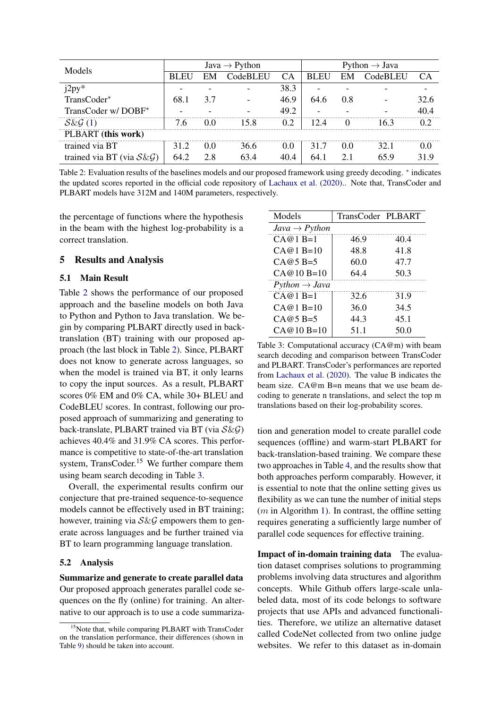<span id="page-6-0"></span>

| Models                       | Java $\rightarrow$ Python |     |          | Python $\rightarrow$ Java |             |     |          |                    |
|------------------------------|---------------------------|-----|----------|---------------------------|-------------|-----|----------|--------------------|
|                              | <b>BLEU</b>               | EM  | CodeBLEU | CA <sup>.</sup>           | <b>BLEU</b> | EM  | CodeBLEU | CА                 |
| $12py^*$                     |                           |     |          | 38.3                      |             |     |          |                    |
| TransCoder*                  | 68.1                      | 3.7 |          | 46.9                      | 64.6        | 0.8 |          | 32.6               |
| TransCoder w/DOBF*           |                           |     |          | 49.2                      |             |     |          | 40.4               |
| $S\&G(1)$                    | 76                        | 0.0 | 15 8     | 0.2                       | 12 A        |     | 163      |                    |
| PLBART (this work)           |                           |     |          |                           |             |     |          |                    |
| trained via BT               | 312                       | 0.0 | 36.6     | $0.0^{\circ}$             | 317         | 0.0 | 32.1     | $( )_{\cdot } ( )$ |
| trained via BT (via $S\&G$ ) | 64.2                      | 2.8 | 63 4     |                           |             | 2.1 | 65 9     |                    |

Table 2: Evaluation results of the baselines models and our proposed framework using greedy decoding. <sup>\*</sup> indicates the updated scores reported in the official code repository of [Lachaux et al.](#page-9-0) [\(2020\)](#page-9-0).. Note that, TransCoder and PLBART models have 312M and 140M parameters, respectively.

the percentage of functions where the hypothesis in the beam with the highest log-probability is a correct translation.

## 5 Results and Analysis

### 5.1 Main Result

Table [2](#page-6-0) shows the performance of our proposed approach and the baseline models on both Java to Python and Python to Java translation. We begin by comparing PLBART directly used in backtranslation (BT) training with our proposed approach (the last block in Table [2\)](#page-6-0). Since, PLBART does not know to generate across languages, so when the model is trained via BT, it only learns to copy the input sources. As a result, PLBART scores 0% EM and 0% CA, while 30+ BLEU and CodeBLEU scores. In contrast, following our proposed approach of summarizing and generating to back-translate, PLBART trained via BT (via  $S\&G$ ) achieves 40.4% and 31.9% CA scores. This performance is competitive to state-of-the-art translation system, TransCoder.<sup>15</sup> We further compare them using beam search decoding in Table [3.](#page-6-1)

Overall, the experimental results confirm our conjecture that pre-trained sequence-to-sequence models cannot be effectively used in BT training; however, training via  $S\&G$  empowers them to generate across languages and be further trained via BT to learn programming language translation.

#### 5.2 Analysis

Summarize and generate to create parallel data Our proposed approach generates parallel code sequences on the fly (online) for training. An alternative to our approach is to use a code summariza-

<span id="page-6-1"></span>

| Models                    | TransCoder PLBART |      |
|---------------------------|-------------------|------|
| $Java \rightarrow Python$ |                   |      |
| $(A \otimes 1)$ R=1       | 46.9              | 40.4 |
| $CA@1B=10$                | 48.8              | 41.8 |
| $CA@5B=5$                 | 60.0              | 47.7 |
| $CA@10B=10$               | 64.4              | 50.3 |
| $Python \rightarrow Java$ |                   |      |
| $(A@1B=1$                 | 32.6              | 31.9 |
| $(A@1B=10$                | 36.0              | 34.5 |
| $CA@5B=5$                 | 44.3              | 45.1 |
| $CA@10B=10$               | 51.1              | 50.0 |

Table 3: Computational accuracy (CA@m) with beam search decoding and comparison between TransCoder and PLBART. TransCoder's performances are reported from [Lachaux et al.](#page-9-0) [\(2020\)](#page-9-0). The value B indicates the beam size. CA@m B=n means that we use beam decoding to generate n translations, and select the top m translations based on their log-probability scores.

tion and generation model to create parallel code sequences (offline) and warm-start PLBART for back-translation-based training. We compare these two approaches in Table [4,](#page-7-0) and the results show that both approaches perform comparably. However, it is essential to note that the online setting gives us flexibility as we can tune the number of initial steps  $(m \text{ in Algorithm 1})$ . In contrast, the offline setting requires generating a sufficiently large number of parallel code sequences for effective training.

Impact of in-domain training data The evaluation dataset comprises solutions to programming problems involving data structures and algorithm concepts. While Github offers large-scale unlabeled data, most of its code belongs to software projects that use APIs and advanced functionalities. Therefore, we utilize an alternative dataset called CodeNet collected from two online judge websites. We refer to this dataset as in-domain

<sup>&</sup>lt;sup>15</sup>Note that, while comparing PLBART with TransCoder on the translation performance, their differences (shown in Table [9\)](#page-13-0) should be taken into account.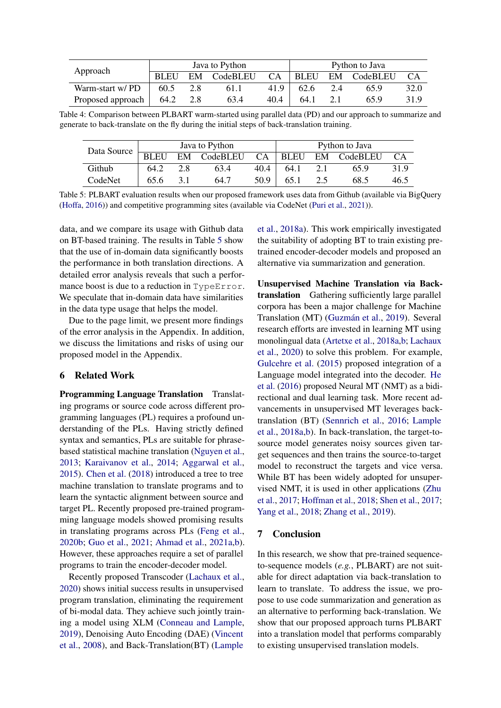<span id="page-7-0"></span>

|                   |             | Java to Python |          | Python to Java |             |     |          |      |
|-------------------|-------------|----------------|----------|----------------|-------------|-----|----------|------|
| Approach          | <b>BLEU</b> | EM             | CodeBLEU | <b>CA</b>      | <b>BLEU</b> | EM  | CodeBLEU | CA   |
| Warm-start w/PD   | 60.5        | 2.8            | 61.1     | 41.9           | 62.6        | 2.4 | 65.9     | 32.0 |
| Proposed approach | 64.2        | 2.8            | 63.4     | 40.4           | 64.1        | 21  | 65.9     | 31.9 |

Table 4: Comparison between PLBART warm-started using parallel data (PD) and our approach to summarize and generate to back-translate on the fly during the initial steps of back-translation training.

<span id="page-7-1"></span>

| Data Source |             | Java to Python |             | Python to Java |      |  |             |      |
|-------------|-------------|----------------|-------------|----------------|------|--|-------------|------|
|             | <b>BLEU</b> |                | EM CodeBLEU | CA             | BLEU |  | EM CodeBLEU | CA   |
| Github      | 64.2        | 2.8            | 63.4        | 40.4           | 64.1 |  | 65.9        | 31.9 |
| CodeNet     | 65.6        |                | 64.7        | 50.9           | 65.1 |  | 68.5        | 46.5 |

Table 5: PLBART evaluation results when our proposed framework uses data from Github (available via BigQuery [\(Hoffa,](#page-9-11) [2016\)](#page-9-11)) and competitive programming sites (available via CodeNet [\(Puri et al.,](#page-9-12) [2021\)](#page-9-12)).

data, and we compare its usage with Github data on BT-based training. The results in Table [5](#page-7-1) show that the use of in-domain data significantly boosts the performance in both translation directions. A detailed error analysis reveals that such a performance boost is due to a reduction in TypeError. We speculate that in-domain data have similarities in the data type usage that helps the model.

Due to the page limit, we present more findings of the error analysis in the Appendix. In addition, we discuss the limitations and risks of using our proposed model in the Appendix.

# 6 Related Work

Programming Language Translation Translating programs or source code across different programming languages (PL) requires a profound understanding of the PLs. Having strictly defined syntax and semantics, PLs are suitable for phrasebased statistical machine translation [\(Nguyen et al.,](#page-9-16) [2013;](#page-9-16) [Karaivanov et al.,](#page-9-17) [2014;](#page-9-17) [Aggarwal et al.,](#page-8-11) [2015\)](#page-8-11). [Chen et al.](#page-8-5) [\(2018\)](#page-8-5) introduced a tree to tree machine translation to translate programs and to learn the syntactic alignment between source and target PL. Recently proposed pre-trained programming language models showed promising results in translating programs across PLs [\(Feng et al.,](#page-8-12) [2020b;](#page-8-12) [Guo et al.,](#page-8-2) [2021;](#page-8-2) [Ahmad et al.,](#page-8-4) [2021a](#page-8-4)[,b\)](#page-8-13). However, these approaches require a set of parallel programs to train the encoder-decoder model.

Recently proposed Transcoder [\(Lachaux et al.,](#page-9-0) [2020\)](#page-9-0) shows initial success results in unsupervised program translation, eliminating the requirement of bi-modal data. They achieve such jointly training a model using XLM [\(Conneau and Lample,](#page-8-14) [2019\)](#page-8-14), Denoising Auto Encoding (DAE) [\(Vincent](#page-10-5) [et al.,](#page-10-5) [2008\)](#page-10-5), and Back-Translation(BT) [\(Lample](#page-9-6)

[et al.,](#page-9-6) [2018a\)](#page-9-6). This work empirically investigated the suitability of adopting BT to train existing pretrained encoder-decoder models and proposed an alternative via summarization and generation.

Unsupervised Machine Translation via Backtranslation Gathering sufficiently large parallel corpora has been a major challenge for Machine Translation (MT) [\(Guzmán et al.,](#page-8-15) [2019\)](#page-8-15). Several research efforts are invested in learning MT using monolingual data [\(Artetxe et al.,](#page-8-16) [2018a,](#page-8-16)[b;](#page-8-8) [Lachaux](#page-9-0) [et al.,](#page-9-0) [2020\)](#page-9-0) to solve this problem. For example, [Gulcehre et al.](#page-8-17) [\(2015\)](#page-8-17) proposed integration of a Language model integrated into the decoder. [He](#page-8-18) [et al.](#page-8-18) [\(2016\)](#page-8-18) proposed Neural MT (NMT) as a bidirectional and dual learning task. More recent advancements in unsupervised MT leverages backtranslation (BT) [\(Sennrich et al.,](#page-10-6) [2016;](#page-10-6) [Lample](#page-9-6) [et al.,](#page-9-6) [2018a](#page-9-6)[,b\)](#page-9-7). In back-translation, the target-tosource model generates noisy sources given target sequences and then trains the source-to-target model to reconstruct the targets and vice versa. While BT has been widely adopted for unsupervised NMT, it is used in other applications [\(Zhu](#page-10-7) [et al.,](#page-10-7) [2017;](#page-10-7) [Hoffman et al.,](#page-9-18) [2018;](#page-9-18) [Shen et al.,](#page-10-8) [2017;](#page-10-8) [Yang et al.,](#page-10-9) [2018;](#page-10-9) [Zhang et al.,](#page-10-10) [2019\)](#page-10-10).

#### 7 Conclusion

In this research, we show that pre-trained sequenceto-sequence models (*e.g.*, PLBART) are not suitable for direct adaptation via back-translation to learn to translate. To address the issue, we propose to use code summarization and generation as an alternative to performing back-translation. We show that our proposed approach turns PLBART into a translation model that performs comparably to existing unsupervised translation models.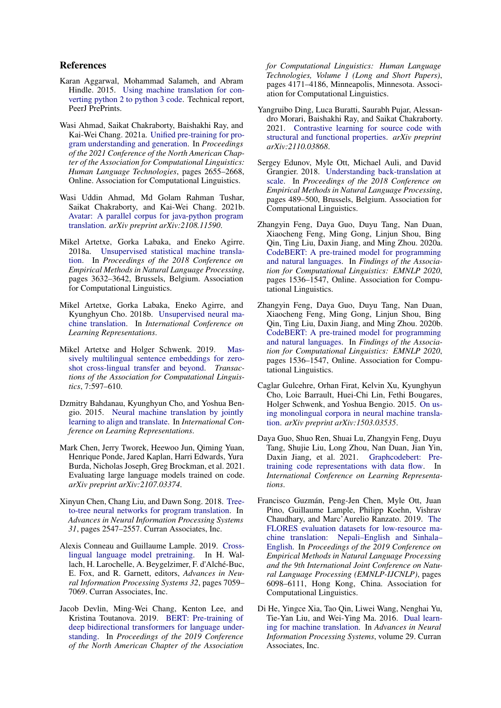## References

- <span id="page-8-11"></span>Karan Aggarwal, Mohammad Salameh, and Abram Hindle. 2015. [Using machine translation for con](https://peerj.com/preprints/1459.pdf)[verting python 2 to python 3 code.](https://peerj.com/preprints/1459.pdf) Technical report, PeerJ PrePrints.
- <span id="page-8-4"></span>Wasi Ahmad, Saikat Chakraborty, Baishakhi Ray, and Kai-Wei Chang. 2021a. [Unified pre-training for pro](https://doi.org/10.18653/v1/2021.naacl-main.211)[gram understanding and generation.](https://doi.org/10.18653/v1/2021.naacl-main.211) In *Proceedings of the 2021 Conference of the North American Chapter of the Association for Computational Linguistics: Human Language Technologies*, pages 2655–2668, Online. Association for Computational Linguistics.
- <span id="page-8-13"></span>Wasi Uddin Ahmad, Md Golam Rahman Tushar, Saikat Chakraborty, and Kai-Wei Chang. 2021b. [Avatar: A parallel corpus for java-python program](https://arxiv.org/abs/2108.11590) [translation.](https://arxiv.org/abs/2108.11590) *arXiv preprint arXiv:2108.11590*.
- <span id="page-8-16"></span>Mikel Artetxe, Gorka Labaka, and Eneko Agirre. 2018a. [Unsupervised statistical machine transla](https://doi.org/10.18653/v1/D18-1399)[tion.](https://doi.org/10.18653/v1/D18-1399) In *Proceedings of the 2018 Conference on Empirical Methods in Natural Language Processing*, pages 3632–3642, Brussels, Belgium. Association for Computational Linguistics.
- <span id="page-8-8"></span>Mikel Artetxe, Gorka Labaka, Eneko Agirre, and Kyunghyun Cho. 2018b. [Unsupervised neural ma](https://openreview.net/pdf?id=Sy2ogebAW)[chine translation.](https://openreview.net/pdf?id=Sy2ogebAW) In *International Conference on Learning Representations*.
- <span id="page-8-7"></span>Mikel Artetxe and Holger Schwenk. 2019. [Mas](https://doi.org/10.1162/tacl_a_00288)[sively multilingual sentence embeddings for zero](https://doi.org/10.1162/tacl_a_00288)[shot cross-lingual transfer and beyond.](https://doi.org/10.1162/tacl_a_00288) *Transactions of the Association for Computational Linguistics*, 7:597–610.
- <span id="page-8-0"></span>Dzmitry Bahdanau, Kyunghyun Cho, and Yoshua Bengio. 2015. [Neural machine translation by jointly](https://arxiv.org/abs/1409.0473) [learning to align and translate.](https://arxiv.org/abs/1409.0473) In *International Conference on Learning Representations*.
- <span id="page-8-10"></span>Mark Chen, Jerry Tworek, Heewoo Jun, Qiming Yuan, Henrique Ponde, Jared Kaplan, Harri Edwards, Yura Burda, Nicholas Joseph, Greg Brockman, et al. 2021. Evaluating large language models trained on code. *arXiv preprint arXiv:2107.03374*.
- <span id="page-8-5"></span>Xinyun Chen, Chang Liu, and Dawn Song. 2018. [Tree](http://papers.nips.cc/paper/7521-tree-to-tree-neural-networks-for-program-translation.pdf)[to-tree neural networks for program translation.](http://papers.nips.cc/paper/7521-tree-to-tree-neural-networks-for-program-translation.pdf) In *Advances in Neural Information Processing Systems 31*, pages 2547–2557. Curran Associates, Inc.
- <span id="page-8-14"></span>Alexis Conneau and Guillaume Lample. 2019. [Cross](http://papers.nips.cc/paper/8928-cross-lingual-language-model-pretraining.pdf)[lingual language model pretraining.](http://papers.nips.cc/paper/8928-cross-lingual-language-model-pretraining.pdf) In H. Wallach, H. Larochelle, A. Beygelzimer, F. d'Alché-Buc, E. Fox, and R. Garnett, editors, *Advances in Neural Information Processing Systems 32*, pages 7059– 7069. Curran Associates, Inc.
- <span id="page-8-9"></span>Jacob Devlin, Ming-Wei Chang, Kenton Lee, and Kristina Toutanova. 2019. [BERT: Pre-training of](https://doi.org/10.18653/v1/N19-1423) [deep bidirectional transformers for language under](https://doi.org/10.18653/v1/N19-1423)[standing.](https://doi.org/10.18653/v1/N19-1423) In *Proceedings of the 2019 Conference of the North American Chapter of the Association*

*for Computational Linguistics: Human Language Technologies, Volume 1 (Long and Short Papers)*, pages 4171–4186, Minneapolis, Minnesota. Association for Computational Linguistics.

- <span id="page-8-3"></span>Yangruibo Ding, Luca Buratti, Saurabh Pujar, Alessandro Morari, Baishakhi Ray, and Saikat Chakraborty. 2021. [Contrastive learning for source code with](https://arxiv.org/abs/2110.03868) [structural and functional properties.](https://arxiv.org/abs/2110.03868) *arXiv preprint arXiv:2110.03868*.
- <span id="page-8-6"></span>Sergey Edunov, Myle Ott, Michael Auli, and David Grangier. 2018. [Understanding back-translation at](https://doi.org/10.18653/v1/D18-1045) [scale.](https://doi.org/10.18653/v1/D18-1045) In *Proceedings of the 2018 Conference on Empirical Methods in Natural Language Processing*, pages 489–500, Brussels, Belgium. Association for Computational Linguistics.
- <span id="page-8-1"></span>Zhangyin Feng, Daya Guo, Duyu Tang, Nan Duan, Xiaocheng Feng, Ming Gong, Linjun Shou, Bing Qin, Ting Liu, Daxin Jiang, and Ming Zhou. 2020a. [CodeBERT: A pre-trained model for programming](https://doi.org/10.18653/v1/2020.findings-emnlp.139) [and natural languages.](https://doi.org/10.18653/v1/2020.findings-emnlp.139) In *Findings of the Association for Computational Linguistics: EMNLP 2020*, pages 1536–1547, Online. Association for Computational Linguistics.
- <span id="page-8-12"></span>Zhangyin Feng, Daya Guo, Duyu Tang, Nan Duan, Xiaocheng Feng, Ming Gong, Linjun Shou, Bing Qin, Ting Liu, Daxin Jiang, and Ming Zhou. 2020b. [CodeBERT: A pre-trained model for programming](https://www.aclweb.org/anthology/2020.findings-emnlp.139) [and natural languages.](https://www.aclweb.org/anthology/2020.findings-emnlp.139) In *Findings of the Association for Computational Linguistics: EMNLP 2020*, pages 1536–1547, Online. Association for Computational Linguistics.
- <span id="page-8-17"></span>Caglar Gulcehre, Orhan Firat, Kelvin Xu, Kyunghyun Cho, Loic Barrault, Huei-Chi Lin, Fethi Bougares, Holger Schwenk, and Yoshua Bengio. 2015. [On us](https://arxiv.org/abs/1503.03535)[ing monolingual corpora in neural machine transla](https://arxiv.org/abs/1503.03535)[tion.](https://arxiv.org/abs/1503.03535) *arXiv preprint arXiv:1503.03535*.
- <span id="page-8-2"></span>Daya Guo, Shuo Ren, Shuai Lu, Zhangyin Feng, Duyu Tang, Shujie Liu, Long Zhou, Nan Duan, Jian Yin, Daxin Jiang, et al. 2021. [Graphcodebert: Pre](https://openreview.net/forum?id=jLoC4ez43PZ)[training code representations with data flow.](https://openreview.net/forum?id=jLoC4ez43PZ) In *International Conference on Learning Representations*.
- <span id="page-8-15"></span>Francisco Guzmán, Peng-Jen Chen, Myle Ott, Juan Pino, Guillaume Lample, Philipp Koehn, Vishrav Chaudhary, and Marc'Aurelio Ranzato. 2019. [The](https://doi.org/10.18653/v1/D19-1632) [FLORES evaluation datasets for low-resource ma](https://doi.org/10.18653/v1/D19-1632)[chine translation: Nepali–English and Sinhala–](https://doi.org/10.18653/v1/D19-1632) [English.](https://doi.org/10.18653/v1/D19-1632) In *Proceedings of the 2019 Conference on Empirical Methods in Natural Language Processing and the 9th International Joint Conference on Natural Language Processing (EMNLP-IJCNLP)*, pages 6098–6111, Hong Kong, China. Association for Computational Linguistics.
- <span id="page-8-18"></span>Di He, Yingce Xia, Tao Qin, Liwei Wang, Nenghai Yu, Tie-Yan Liu, and Wei-Ying Ma. 2016. [Dual learn](https://proceedings.neurips.cc/paper/2016/file/5b69b9cb83065d403869739ae7f0995e-Paper.pdf)[ing for machine translation.](https://proceedings.neurips.cc/paper/2016/file/5b69b9cb83065d403869739ae7f0995e-Paper.pdf) In *Advances in Neural Information Processing Systems*, volume 29. Curran Associates, Inc.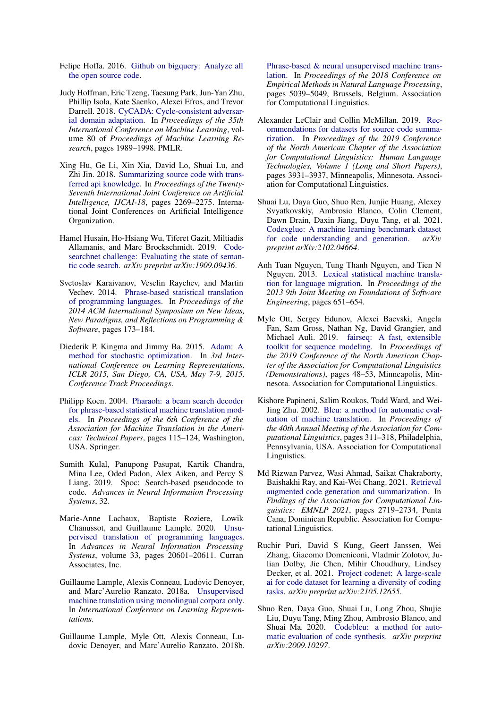- <span id="page-9-11"></span>Felipe Hoffa. 2016. [Github on bigquery: Analyze all](https://cloud.google.com/blog/topics/public-datasets/github-on-bigquery-analyze-all-the-open-source-code) [the open source code.](https://cloud.google.com/blog/topics/public-datasets/github-on-bigquery-analyze-all-the-open-source-code)
- <span id="page-9-18"></span>Judy Hoffman, Eric Tzeng, Taesung Park, Jun-Yan Zhu, Phillip Isola, Kate Saenko, Alexei Efros, and Trevor Darrell. 2018. [CyCADA: Cycle-consistent adversar](https://proceedings.mlr.press/v80/hoffman18a.html)[ial domain adaptation.](https://proceedings.mlr.press/v80/hoffman18a.html) In *Proceedings of the 35th International Conference on Machine Learning*, volume 80 of *Proceedings of Machine Learning Research*, pages 1989–1998. PMLR.
- <span id="page-9-1"></span>Xing Hu, Ge Li, Xin Xia, David Lo, Shuai Lu, and Zhi Jin. 2018. [Summarizing source code with trans](https://doi.org/10.24963/ijcai.2018/314)[ferred api knowledge.](https://doi.org/10.24963/ijcai.2018/314) In *Proceedings of the Twenty-Seventh International Joint Conference on Artificial Intelligence, IJCAI-18*, pages 2269–2275. International Joint Conferences on Artificial Intelligence Organization.
- <span id="page-9-3"></span>Hamel Husain, Ho-Hsiang Wu, Tiferet Gazit, Miltiadis Allamanis, and Marc Brockschmidt. 2019. [Code](https://arxiv.org/abs/1909.09436)[searchnet challenge: Evaluating the state of seman](https://arxiv.org/abs/1909.09436)[tic code search.](https://arxiv.org/abs/1909.09436) *arXiv preprint arXiv:1909.09436*.
- <span id="page-9-17"></span>Svetoslav Karaivanov, Veselin Raychev, and Martin Vechev. 2014. [Phrase-based statistical translation](https://doi.org/10.1145/2661136.2661148) [of programming languages.](https://doi.org/10.1145/2661136.2661148) In *Proceedings of the 2014 ACM International Symposium on New Ideas, New Paradigms, and Reflections on Programming & Software*, pages 173–184.
- <span id="page-9-13"></span>Diederik P. Kingma and Jimmy Ba. 2015. [Adam: A](http://arxiv.org/abs/1412.6980) [method for stochastic optimization.](http://arxiv.org/abs/1412.6980) In *3rd International Conference on Learning Representations, ICLR 2015, San Diego, CA, USA, May 7-9, 2015, Conference Track Proceedings*.
- <span id="page-9-15"></span>Philipp Koen. 2004. [Pharaoh: a beam search decoder](https://link.springer.com/chapter/10.1007/978-3-540-30194-3_13) [for phrase-based statistical machine translation mod](https://link.springer.com/chapter/10.1007/978-3-540-30194-3_13)[els.](https://link.springer.com/chapter/10.1007/978-3-540-30194-3_13) In *Proceedings of the 6th Conference of the Association for Machine Translation in the Americas: Technical Papers*, pages 115–124, Washington, USA. Springer.
- <span id="page-9-10"></span>Sumith Kulal, Panupong Pasupat, Kartik Chandra, Mina Lee, Oded Padon, Alex Aiken, and Percy S Liang. 2019. Spoc: Search-based pseudocode to code. *Advances in Neural Information Processing Systems*, 32.
- <span id="page-9-0"></span>Marie-Anne Lachaux, Baptiste Roziere, Lowik Chanussot, and Guillaume Lample. 2020. [Unsu](https://proceedings.neurips.cc/paper/2020/file/ed23fbf18c2cd35f8c7f8de44f85c08d-Paper.pdf)[pervised translation of programming languages.](https://proceedings.neurips.cc/paper/2020/file/ed23fbf18c2cd35f8c7f8de44f85c08d-Paper.pdf) In *Advances in Neural Information Processing Systems*, volume 33, pages 20601–20611. Curran Associates, Inc.
- <span id="page-9-6"></span>Guillaume Lample, Alexis Conneau, Ludovic Denoyer, and Marc'Aurelio Ranzato. 2018a. [Unsupervised](https://openreview.net/forum?id=rkYTTf-AZ) [machine translation using monolingual corpora only.](https://openreview.net/forum?id=rkYTTf-AZ) In *International Conference on Learning Representations*.
- <span id="page-9-7"></span>Guillaume Lample, Myle Ott, Alexis Conneau, Ludovic Denoyer, and Marc'Aurelio Ranzato. 2018b.

[Phrase-based & neural unsupervised machine trans](https://doi.org/10.18653/v1/D18-1549)[lation.](https://doi.org/10.18653/v1/D18-1549) In *Proceedings of the 2018 Conference on Empirical Methods in Natural Language Processing*, pages 5039–5049, Brussels, Belgium. Association for Computational Linguistics.

- <span id="page-9-2"></span>Alexander LeClair and Collin McMillan. 2019. [Rec](https://doi.org/10.18653/v1/N19-1394)[ommendations for datasets for source code summa](https://doi.org/10.18653/v1/N19-1394)[rization.](https://doi.org/10.18653/v1/N19-1394) In *Proceedings of the 2019 Conference of the North American Chapter of the Association for Computational Linguistics: Human Language Technologies, Volume 1 (Long and Short Papers)*, pages 3931–3937, Minneapolis, Minnesota. Association for Computational Linguistics.
- <span id="page-9-5"></span>Shuai Lu, Daya Guo, Shuo Ren, Junjie Huang, Alexey Svyatkovskiy, Ambrosio Blanco, Colin Clement, Dawn Drain, Daxin Jiang, Duyu Tang, et al. 2021. [Codexglue: A machine learning benchmark dataset](https://arxiv.org/abs/2102.04664) [for code understanding and generation.](https://arxiv.org/abs/2102.04664) *arXiv preprint arXiv:2102.04664*.
- <span id="page-9-16"></span>Anh Tuan Nguyen, Tung Thanh Nguyen, and Tien N Nguyen. 2013. [Lexical statistical machine transla](https://doi.org/10.1145/2491411.2494584)[tion for language migration.](https://doi.org/10.1145/2491411.2494584) In *Proceedings of the 2013 9th Joint Meeting on Foundations of Software Engineering*, pages 651–654.
- <span id="page-9-14"></span>Myle Ott, Sergey Edunov, Alexei Baevski, Angela Fan, Sam Gross, Nathan Ng, David Grangier, and Michael Auli. 2019. [fairseq: A fast, extensible](https://doi.org/10.18653/v1/N19-4009) [toolkit for sequence modeling.](https://doi.org/10.18653/v1/N19-4009) In *Proceedings of the 2019 Conference of the North American Chapter of the Association for Computational Linguistics (Demonstrations)*, pages 48–53, Minneapolis, Minnesota. Association for Computational Linguistics.
- <span id="page-9-8"></span>Kishore Papineni, Salim Roukos, Todd Ward, and Wei-Jing Zhu. 2002. [Bleu: a method for automatic eval](https://doi.org/10.3115/1073083.1073135)[uation of machine translation.](https://doi.org/10.3115/1073083.1073135) In *Proceedings of the 40th Annual Meeting of the Association for Computational Linguistics*, pages 311–318, Philadelphia, Pennsylvania, USA. Association for Computational Linguistics.
- <span id="page-9-4"></span>Md Rizwan Parvez, Wasi Ahmad, Saikat Chakraborty, Baishakhi Ray, and Kai-Wei Chang. 2021. [Retrieval](https://aclanthology.org/2021.findings-emnlp.232) [augmented code generation and summarization.](https://aclanthology.org/2021.findings-emnlp.232) In *Findings of the Association for Computational Linguistics: EMNLP 2021*, pages 2719–2734, Punta Cana, Dominican Republic. Association for Computational Linguistics.
- <span id="page-9-12"></span>Ruchir Puri, David S Kung, Geert Janssen, Wei Zhang, Giacomo Domeniconi, Vladmir Zolotov, Julian Dolby, Jie Chen, Mihir Choudhury, Lindsey Decker, et al. 2021. [Project codenet: A large-scale](https://arxiv.org/abs/2105.12655) [ai for code dataset for learning a diversity of coding](https://arxiv.org/abs/2105.12655) [tasks.](https://arxiv.org/abs/2105.12655) *arXiv preprint arXiv:2105.12655*.
- <span id="page-9-9"></span>Shuo Ren, Daya Guo, Shuai Lu, Long Zhou, Shujie Liu, Duyu Tang, Ming Zhou, Ambrosio Blanco, and Shuai Ma. 2020. [Codebleu: a method for auto](https://arxiv.org/abs/2009.10297)[matic evaluation of code synthesis.](https://arxiv.org/abs/2009.10297) *arXiv preprint arXiv:2009.10297*.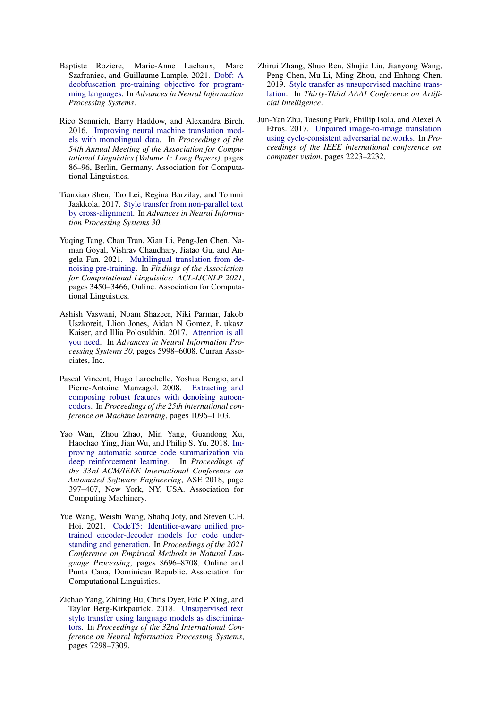- <span id="page-10-1"></span>Baptiste Roziere, Marie-Anne Lachaux, Marc Szafraniec, and Guillaume Lample. 2021. [Dobf: A](https://arxiv.org/abs/2102.07492) [deobfuscation pre-training objective for program](https://arxiv.org/abs/2102.07492)[ming languages.](https://arxiv.org/abs/2102.07492) In *Advances in Neural Information Processing Systems*.
- <span id="page-10-6"></span>Rico Sennrich, Barry Haddow, and Alexandra Birch. 2016. [Improving neural machine translation mod](https://doi.org/10.18653/v1/P16-1009)[els with monolingual data.](https://doi.org/10.18653/v1/P16-1009) In *Proceedings of the 54th Annual Meeting of the Association for Computational Linguistics (Volume 1: Long Papers)*, pages 86–96, Berlin, Germany. Association for Computational Linguistics.
- <span id="page-10-8"></span>Tianxiao Shen, Tao Lei, Regina Barzilay, and Tommi Jaakkola. 2017. [Style transfer from non-parallel text](https://papers.nips.cc/paper/2017/file/2d2c8394e31101a261abf1784302bf75-Paper.pdf) [by cross-alignment.](https://papers.nips.cc/paper/2017/file/2d2c8394e31101a261abf1784302bf75-Paper.pdf) In *Advances in Neural Information Processing Systems 30*.
- <span id="page-10-4"></span>Yuqing Tang, Chau Tran, Xian Li, Peng-Jen Chen, Naman Goyal, Vishrav Chaudhary, Jiatao Gu, and Angela Fan. 2021. [Multilingual translation from de](https://doi.org/10.18653/v1/2021.findings-acl.304)[noising pre-training.](https://doi.org/10.18653/v1/2021.findings-acl.304) In *Findings of the Association for Computational Linguistics: ACL-IJCNLP 2021*, pages 3450–3466, Online. Association for Computational Linguistics.
- <span id="page-10-0"></span>Ashish Vaswani, Noam Shazeer, Niki Parmar, Jakob Uszkoreit, Llion Jones, Aidan N Gomez, Ł ukasz Kaiser, and Illia Polosukhin. 2017. [Attention is all](http://papers.nips.cc/paper/7181-attention-is-all-you-need.pdf) [you need.](http://papers.nips.cc/paper/7181-attention-is-all-you-need.pdf) In *Advances in Neural Information Processing Systems 30*, pages 5998–6008. Curran Associates, Inc.
- <span id="page-10-5"></span>Pascal Vincent, Hugo Larochelle, Yoshua Bengio, and Pierre-Antoine Manzagol. 2008. [Extracting and](https://doi.org/10.1145/1390156.1390294) [composing robust features with denoising autoen](https://doi.org/10.1145/1390156.1390294)[coders.](https://doi.org/10.1145/1390156.1390294) In *Proceedings of the 25th international conference on Machine learning*, pages 1096–1103.
- <span id="page-10-3"></span>Yao Wan, Zhou Zhao, Min Yang, Guandong Xu, Haochao Ying, Jian Wu, and Philip S. Yu. 2018. [Im](https://doi.org/10.1145/3238147.3238206)[proving automatic source code summarization via](https://doi.org/10.1145/3238147.3238206) [deep reinforcement learning.](https://doi.org/10.1145/3238147.3238206) In *Proceedings of the 33rd ACM/IEEE International Conference on Automated Software Engineering*, ASE 2018, page 397–407, New York, NY, USA. Association for Computing Machinery.
- <span id="page-10-2"></span>Yue Wang, Weishi Wang, Shafiq Joty, and Steven C.H. Hoi. 2021. [CodeT5: Identifier-aware unified pre](https://aclanthology.org/2021.emnlp-main.685)[trained encoder-decoder models for code under](https://aclanthology.org/2021.emnlp-main.685)[standing and generation.](https://aclanthology.org/2021.emnlp-main.685) In *Proceedings of the 2021 Conference on Empirical Methods in Natural Language Processing*, pages 8696–8708, Online and Punta Cana, Dominican Republic. Association for Computational Linguistics.
- <span id="page-10-9"></span>Zichao Yang, Zhiting Hu, Chris Dyer, Eric P Xing, and Taylor Berg-Kirkpatrick. 2018. [Unsupervised text](https://dl.acm.org/doi/pdf/10.5555/3327757.3327831) [style transfer using language models as discrimina](https://dl.acm.org/doi/pdf/10.5555/3327757.3327831)[tors.](https://dl.acm.org/doi/pdf/10.5555/3327757.3327831) In *Proceedings of the 32nd International Conference on Neural Information Processing Systems*, pages 7298–7309.
- <span id="page-10-10"></span>Zhirui Zhang, Shuo Ren, Shujie Liu, Jianyong Wang, Peng Chen, Mu Li, Ming Zhou, and Enhong Chen. 2019. [Style transfer as unsupervised machine trans](https://arxiv.org/abs/1808.07894)[lation.](https://arxiv.org/abs/1808.07894) In *Thirty-Third AAAI Conference on Artificial Intelligence*.
- <span id="page-10-7"></span>Jun-Yan Zhu, Taesung Park, Phillip Isola, and Alexei A Efros. 2017. [Unpaired image-to-image translation](https://openaccess.thecvf.com/content_ICCV_2017/papers/Zhu_Unpaired_Image-To-Image_Translation_ICCV_2017_paper.pdf) [using cycle-consistent adversarial networks.](https://openaccess.thecvf.com/content_ICCV_2017/papers/Zhu_Unpaired_Image-To-Image_Translation_ICCV_2017_paper.pdf) In *Proceedings of the IEEE international conference on computer vision*, pages 2223–2232.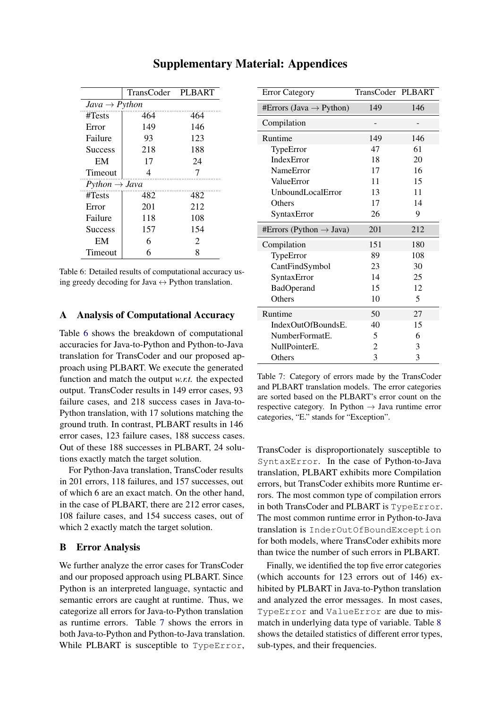<span id="page-11-0"></span>

|                           | TransCoder PLBART |                       |
|---------------------------|-------------------|-----------------------|
| $Java \rightarrow Python$ |                   |                       |
| $\#Tests$                 | 464               | 464                   |
| Error                     | 149               | 146                   |
| Failure                   | 93                | 123                   |
| <b>Success</b>            | 218               | 188                   |
| EM                        | 17                | 24                    |
| Timeout                   | 4                 |                       |
| $Python \rightarrow Java$ |                   |                       |
| #Tests                    | 482               | 482                   |
| Error                     | 201               | 212                   |
| Failure                   | 118               | 108                   |
| <b>Success</b>            | 157               | 154                   |
| EM                        | 6                 | $\mathcal{D}_{\cdot}$ |
| Timeout                   | 6                 | 8                     |

# Supplementary Material: Appendices

Table 6: Detailed results of computational accuracy using greedy decoding for Java  $\leftrightarrow$  Python translation.

## A Analysis of Computational Accuracy

Table [6](#page-11-0) shows the breakdown of computational accuracies for Java-to-Python and Python-to-Java translation for TransCoder and our proposed approach using PLBART. We execute the generated function and match the output *w.r.t.* the expected output. TransCoder results in 149 error cases, 93 failure cases, and 218 success cases in Java-to-Python translation, with 17 solutions matching the ground truth. In contrast, PLBART results in 146 error cases, 123 failure cases, 188 success cases. Out of these 188 successes in PLBART, 24 solutions exactly match the target solution.

For Python-Java translation, TransCoder results in 201 errors, 118 failures, and 157 successes, out of which 6 are an exact match. On the other hand, in the case of PLBART, there are 212 error cases, 108 failure cases, and 154 success cases, out of which 2 exactly match the target solution.

## B Error Analysis

We further analyze the error cases for TransCoder and our proposed approach using PLBART. Since Python is an interpreted language, syntactic and semantic errors are caught at runtime. Thus, we categorize all errors for Java-to-Python translation as runtime errors. Table [7](#page-11-1) shows the errors in both Java-to-Python and Python-to-Java translation. While PLBART is susceptible to TypeError,

<span id="page-11-1"></span>

| <b>Error Category</b>               | TransCoder PLBART |     |
|-------------------------------------|-------------------|-----|
| #Errors (Java $\rightarrow$ Python) | 149               | 146 |
| Compilation                         |                   |     |
| Runtime                             | 149               | 146 |
| TypeError                           | 47                | 61  |
| <b>IndexError</b>                   | 18                | 20  |
| NameError                           | 17                | 16  |
| ValueError                          | 11                | 15  |
| <b>UnboundLocalError</b>            | 13                | 11  |
| Others                              | 17                | 14  |
| SyntaxError                         | 26                | 9   |
| #Errors (Python $\rightarrow$ Java) | 201               | 212 |
| Compilation                         | 151               | 180 |
| TypeError                           | 89                | 108 |
| CantFindSymbol                      | 23                | 30  |
| SyntaxError                         | 14                | 25  |
| <b>BadOperand</b>                   | 15                | 12  |
| Others                              | 10                | 5   |
| Runtime                             | 50                | 27  |
| IndexOutOfBoundsE.                  | 40                | 15  |
| NumberFormatE.                      | 5                 | 6   |
| NullPointerE.                       | $\overline{c}$    | 3   |
| Others                              | 3                 | 3   |

Table 7: Category of errors made by the TransCoder and PLBART translation models. The error categories are sorted based on the PLBART's error count on the respective category. In Python  $\rightarrow$  Java runtime error categories, "E." stands for "Exception".

TransCoder is disproportionately susceptible to SyntaxError. In the case of Python-to-Java translation, PLBART exhibits more Compilation errors, but TransCoder exhibits more Runtime errors. The most common type of compilation errors in both TransCoder and PLBART is TypeError. The most common runtime error in Python-to-Java translation is InderOutOfBoundException for both models, where TransCoder exhibits more than twice the number of such errors in PLBART.

Finally, we identified the top five error categories (which accounts for 123 errors out of 146) exhibited by PLBART in Java-to-Python translation and analyzed the error messages. In most cases, TypeError and ValueError are due to mismatch in underlying data type of variable. Table [8](#page-12-0) shows the detailed statistics of different error types, sub-types, and their frequencies.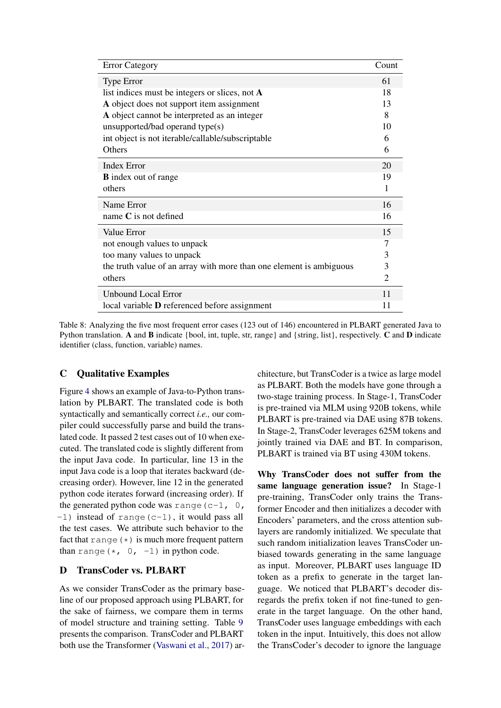<span id="page-12-0"></span>

| <b>Error Category</b>                                               | Count          |
|---------------------------------------------------------------------|----------------|
| <b>Type Error</b>                                                   | 61             |
| list indices must be integers or slices, not $\bf{A}$               | 18             |
| A object does not support item assignment                           | 13             |
| A object cannot be interpreted as an integer                        | 8              |
| unsupported/bad operand type(s)                                     | 10             |
| int object is not iterable/callable/subscriptable                   | 6              |
| Others                                                              | 6              |
| <b>Index Error</b>                                                  | 20             |
| <b>B</b> index out of range                                         | 19             |
| others                                                              | 1              |
| Name Error                                                          | 16             |
| name $C$ is not defined                                             | 16             |
| Value Error                                                         | 15             |
| not enough values to unpack                                         | 7              |
| too many values to unpack                                           | 3              |
| the truth value of an array with more than one element is ambiguous | 3              |
| others                                                              | $\overline{2}$ |
| <b>Unbound Local Error</b>                                          | 11             |
| local variable <b>D</b> referenced before assignment                | 11             |

Table 8: Analyzing the five most frequent error cases (123 out of 146) encountered in PLBART generated Java to Python translation. A and B indicate {bool, int, tuple, str, range} and {string, list}, respectively. C and D indicate identifier (class, function, variable) names.

# C Qualitative Examples

Figure [4](#page-13-1) shows an example of Java-to-Python translation by PLBART. The translated code is both syntactically and semantically correct *i.e.,* our compiler could successfully parse and build the translated code. It passed 2 test cases out of 10 when executed. The translated code is slightly different from the input Java code. In particular, line 13 in the input Java code is a loop that iterates backward (decreasing order). However, line 12 in the generated python code iterates forward (increasing order). If the generated python code was range  $(c-1, 0,$  $-1$ ) instead of range(c-1), it would pass all the test cases. We attribute such behavior to the fact that range  $(*)$  is much more frequent pattern than range  $(*, 0, -1)$  in python code.

## D TransCoder vs. PLBART

As we consider TransCoder as the primary baseline of our proposed approach using PLBART, for the sake of fairness, we compare them in terms of model structure and training setting. Table [9](#page-13-0) presents the comparison. TransCoder and PLBART both use the Transformer [\(Vaswani et al.,](#page-10-0) [2017\)](#page-10-0) architecture, but TransCoder is a twice as large model as PLBART. Both the models have gone through a two-stage training process. In Stage-1, TransCoder is pre-trained via MLM using 920B tokens, while PLBART is pre-trained via DAE using 87B tokens. In Stage-2, TransCoder leverages 625M tokens and jointly trained via DAE and BT. In comparison, PLBART is trained via BT using 430M tokens.

Why TransCoder does not suffer from the same language generation issue? In Stage-1 pre-training, TransCoder only trains the Transformer Encoder and then initializes a decoder with Encoders' parameters, and the cross attention sublayers are randomly initialized. We speculate that such random initialization leaves TransCoder unbiased towards generating in the same language as input. Moreover, PLBART uses language ID token as a prefix to generate in the target language. We noticed that PLBART's decoder disregards the prefix token if not fine-tuned to generate in the target language. On the other hand, TransCoder uses language embeddings with each token in the input. Intuitively, this does not allow the TransCoder's decoder to ignore the language